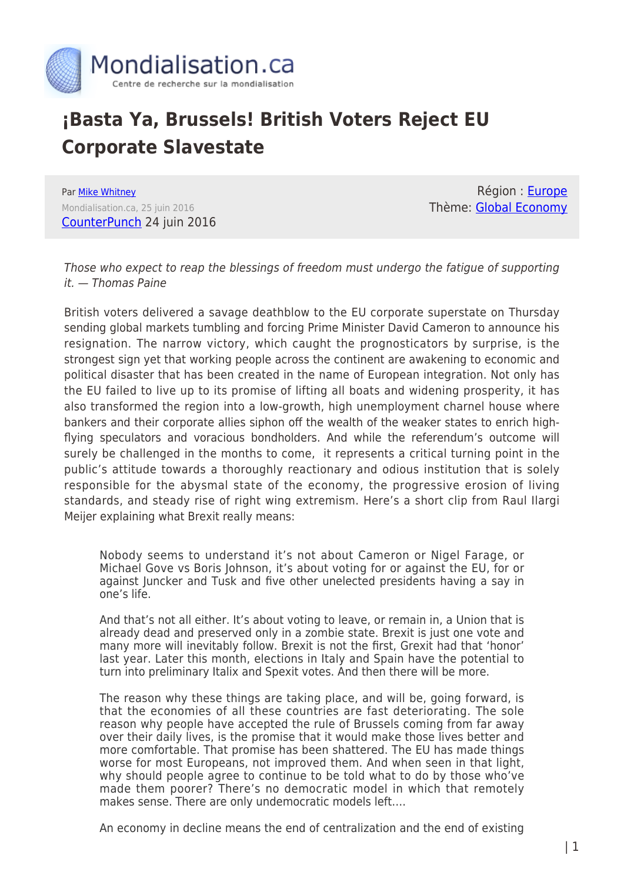

## **¡Basta Ya, Brussels! British Voters Reject EU Corporate Slavestate**

Par [Mike Whitney](https://www.mondialisation.ca/author/mike-whitney) Mondialisation.ca, 25 juin 2016 [CounterPunch](http://www.counterpunch.org/2016/06/24/basta-ya-brussels-british-voters-reject-eu-corporate-slavestate/) 24 juin 2016

Région : [Europe](https://www.mondialisation.ca/region/europe) Thème: [Global Economy](https://www.mondialisation.ca/theme/global-economy)

Those who expect to reap the blessings of freedom must undergo the fatigue of supporting it. — Thomas Paine

British voters delivered a savage deathblow to the EU corporate superstate on Thursday sending global markets tumbling and forcing Prime Minister David Cameron to announce his resignation. The narrow victory, which caught the prognosticators by surprise, is the strongest sign yet that working people across the continent are awakening to economic and political disaster that has been created in the name of European integration. Not only has the EU failed to live up to its promise of lifting all boats and widening prosperity, it has also transformed the region into a low-growth, high unemployment charnel house where bankers and their corporate allies siphon off the wealth of the weaker states to enrich highflying speculators and voracious bondholders. And while the referendum's outcome will surely be challenged in the months to come, it represents a critical turning point in the public's attitude towards a thoroughly reactionary and odious institution that is solely responsible for the abysmal state of the economy, the progressive erosion of living standards, and steady rise of right wing extremism. Here's a short clip from Raul Ilargi Meijer explaining what Brexit really means:

Nobody seems to understand it's not about Cameron or Nigel Farage, or Michael Gove vs Boris Johnson, it's about voting for or against the EU, for or against Juncker and Tusk and five other unelected presidents having a say in one's life.

And that's not all either. It's about voting to leave, or remain in, a Union that is already dead and preserved only in a zombie state. Brexit is just one vote and many more will inevitably follow. Brexit is not the first, Grexit had that 'honor' last year. Later this month, elections in Italy and Spain have the potential to turn into preliminary Italix and Spexit votes. And then there will be more.

The reason why these things are taking place, and will be, going forward, is that the economies of all these countries are fast deteriorating. The sole reason why people have accepted the rule of Brussels coming from far away over their daily lives, is the promise that it would make those lives better and more comfortable. That promise has been shattered. The EU has made things worse for most Europeans, not improved them. And when seen in that light, why should people agree to continue to be told what to do by those who've made them poorer? There's no democratic model in which that remotely makes sense. There are only undemocratic models left….

An economy in decline means the end of centralization and the end of existing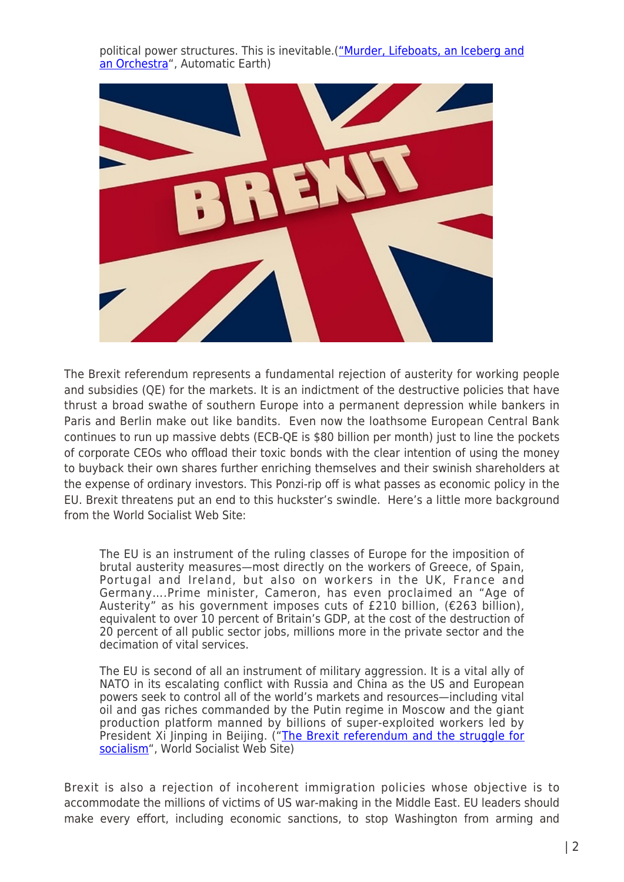political power structures. This is inevitable.[\("Murder, Lifeboats, an Iceberg and](http://www.theautomaticearth.com/2016/06/murder-lifeboats-an-iceberg-and-an-orchestra/) [an Orchestra"](http://www.theautomaticearth.com/2016/06/murder-lifeboats-an-iceberg-and-an-orchestra/), Automatic Earth)



The Brexit referendum represents a fundamental rejection of austerity for working people and subsidies (QE) for the markets. It is an indictment of the destructive policies that have thrust a broad swathe of southern Europe into a permanent depression while bankers in Paris and Berlin make out like bandits. Even now the loathsome European Central Bank continues to run up massive debts (ECB-QE is \$80 billion per month) just to line the pockets of corporate CEOs who offload their toxic bonds with the clear intention of using the money to buyback their own shares further enriching themselves and their swinish shareholders at the expense of ordinary investors. This Ponzi-rip off is what passes as economic policy in the EU. Brexit threatens put an end to this huckster's swindle. Here's a little more background from the World Socialist Web Site:

The EU is an instrument of the ruling classes of Europe for the imposition of brutal austerity measures—most directly on the workers of Greece, of Spain, Portugal and Ireland, but also on workers in the UK, France and Germany….Prime minister, Cameron, has even proclaimed an "Age of Austerity" as his government imposes cuts of £210 billion, (€263 billion), equivalent to over 10 percent of Britain's GDP, at the cost of the destruction of 20 percent of all public sector jobs, millions more in the private sector and the decimation of vital services.

The EU is second of all an instrument of military aggression. It is a vital ally of NATO in its escalating conflict with Russia and China as the US and European powers seek to control all of the world's markets and resources—including vital oil and gas riches commanded by the Putin regime in Moscow and the giant production platform manned by billions of super-exploited workers led by President Xi Jinping in Beijing. ("<u>[The Brexit referendum and the struggle for](http://www.wsws.org/en/articles/2016/06/22/mars-j22.html)</u> [socialism"](http://www.wsws.org/en/articles/2016/06/22/mars-j22.html), World Socialist Web Site)

Brexit is also a rejection of incoherent immigration policies whose objective is to accommodate the millions of victims of US war-making in the Middle East. EU leaders should make every effort, including economic sanctions, to stop Washington from arming and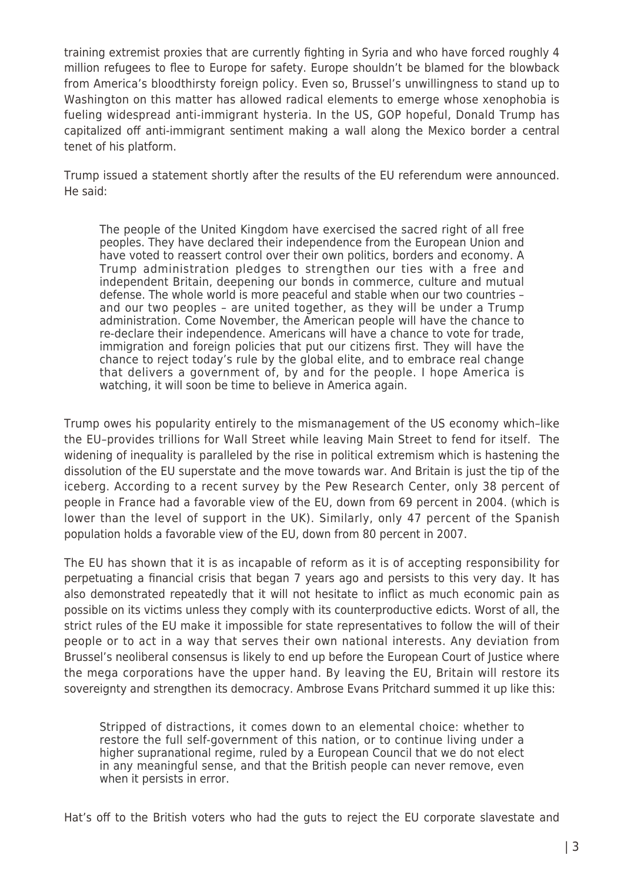training extremist proxies that are currently fighting in Syria and who have forced roughly 4 million refugees to flee to Europe for safety. Europe shouldn't be blamed for the blowback from America's bloodthirsty foreign policy. Even so, Brussel's unwillingness to stand up to Washington on this matter has allowed radical elements to emerge whose xenophobia is fueling widespread anti-immigrant hysteria. In the US, GOP hopeful, Donald Trump has capitalized off anti-immigrant sentiment making a wall along the Mexico border a central tenet of his platform.

Trump issued a statement shortly after the results of the EU referendum were announced. He said:

The people of the United Kingdom have exercised the sacred right of all free peoples. They have declared their independence from the European Union and have voted to reassert control over their own politics, borders and economy. A Trump administration pledges to strengthen our ties with a free and independent Britain, deepening our bonds in commerce, culture and mutual defense. The whole world is more peaceful and stable when our two countries – and our two peoples – are united together, as they will be under a Trump administration.
Come November, the American people will have the chance to re-declare their independence. Americans will have a chance to vote for trade, immigration and foreign policies that put our citizens first. They will have the chance to reject today's rule by the global elite, and to embrace real change that delivers a government of, by and for the people. I hope America is watching, it will soon be time to believe in America again.

Trump owes his popularity entirely to the mismanagement of the US economy which–like the EU–provides trillions for Wall Street while leaving Main Street to fend for itself. The widening of inequality is paralleled by the rise in political extremism which is hastening the dissolution of the EU superstate and the move towards war. And Britain is just the tip of the iceberg. According to a recent survey by the Pew Research Center, only 38 percent of people in France had a favorable view of the EU, down from 69 percent in 2004. (which is lower than the level of support in the UK). Similarly, only 47 percent of the Spanish population holds a favorable view of the EU, down from 80 percent in 2007.

The EU has shown that it is as incapable of reform as it is of accepting responsibility for perpetuating a financial crisis that began 7 years ago and persists to this very day. It has also demonstrated repeatedly that it will not hesitate to inflict as much economic pain as possible on its victims unless they comply with its counterproductive edicts. Worst of all, the strict rules of the EU make it impossible for state representatives to follow the will of their people or to act in a way that serves their own national interests. Any deviation from Brussel's neoliberal consensus is likely to end up before the European Court of Justice where the mega corporations have the upper hand. By leaving the EU, Britain will restore its sovereignty and strengthen its democracy. Ambrose Evans Pritchard summed it up like this:

Stripped of distractions, it comes down to an elemental choice: whether to restore the full self-government of this nation, or to continue living under a higher supranational regime, ruled by a European Council that we do not elect in any meaningful sense, and that the British people can never remove, even when it persists in error.

Hat's off to the British voters who had the guts to reject the EU corporate slavestate and